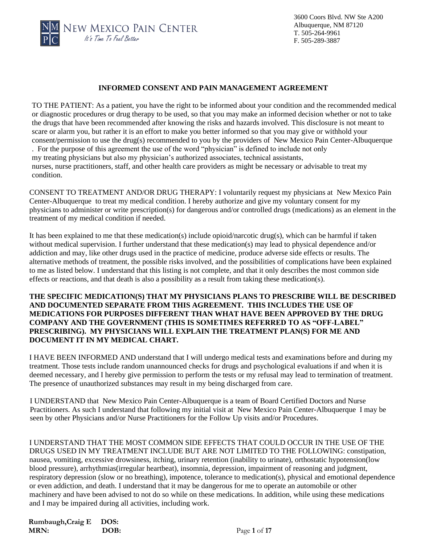

### **INFORMED CONSENT AND PAIN MANAGEMENT AGREEMENT**

TO THE PATIENT: As a patient, you have the right to be informed about your condition and the recommended medical or diagnostic procedures or drug therapy to be used, so that you may make an informed decision whether or not to take the drugs that have been recommended after knowing the risks and hazards involved. This disclosure is not meant to scare or alarm you, but rather it is an effort to make you better informed so that you may give or withhold your consent/permission to use the drug(s) recommended to you by the providers of New Mexico Pain Center-Albuquerque . For the purpose of this agreement the use of the word "physician" is defined to include not only my treating physicians but also my physician's authorized associates, technical assistants, nurses, nurse practitioners, staff, and other health care providers as might be necessary or advisable to treat my condition.

CONSENT TO TREATMENT AND/OR DRUG THERAPY: I voluntarily request my physicians at New Mexico Pain Center-Albuquerque to treat my medical condition. I hereby authorize and give my voluntary consent for my physicians to administer or write prescription(s) for dangerous and/or controlled drugs (medications) as an element in the treatment of my medical condition if needed.

It has been explained to me that these medication(s) include opioid/narcotic drug(s), which can be harmful if taken without medical supervision. I further understand that these medication(s) may lead to physical dependence and/or addiction and may, like other drugs used in the practice of medicine, produce adverse side effects or results. The alternative methods of treatment, the possible risks involved, and the possibilities of complications have been explained to me as listed below. I understand that this listing is not complete, and that it only describes the most common side effects or reactions, and that death is also a possibility as a result from taking these medication(s).

### **THE SPECIFIC MEDICATION(S) THAT MY PHYSICIANS PLANS TO PRESCRIBE WILL BE DESCRIBED AND DOCUMENTED SEPARATE FROM THIS AGREEMENT. THIS INCLUDES THE USE OF MEDICATIONS FOR PURPOSES DIFFERENT THAN WHAT HAVE BEEN APPROVED BY THE DRUG COMPANY AND THE GOVERNMENT (THIS IS SOMETIMES REFERRED TO AS "OFF-LABEL" PRESCRIBING). MY PHYSICIANS WILL EXPLAIN THE TREATMENT PLAN(S) FOR ME AND DOCUMENT IT IN MY MEDICAL CHART.**

I HAVE BEEN INFORMED AND understand that I will undergo medical tests and examinations before and during my treatment. Those tests include random unannounced checks for drugs and psychological evaluations if and when it is deemed necessary, and I hereby give permission to perform the tests or my refusal may lead to termination of treatment. The presence of unauthorized substances may result in my being discharged from care.

I UNDERSTAND that New Mexico Pain Center-Albuquerque is a team of Board Certified Doctors and Nurse Practitioners. As such I understand that following my initial visit at New Mexico Pain Center-Albuquerque I may be seen by other Physicians and/or Nurse Practitioners for the Follow Up visits and/or Procedures.

I UNDERSTAND THAT THE MOST COMMON SIDE EFFECTS THAT COULD OCCUR IN THE USE OF THE DRUGS USED IN MY TREATMENT INCLUDE BUT ARE NOT LIMITED TO THE FOLLOWING: constipation, nausea, vomiting, excessive drowsiness, itching, urinary retention (inability to urinate), orthostatic hypotension(low blood pressure), arrhythmias(irregular heartbeat), insomnia, depression, impairment of reasoning and judgment, respiratory depression (slow or no breathing), impotence, tolerance to medication(s), physical and emotional dependence or even addiction, and death. I understand that it may be dangerous for me to operate an automobile or other machinery and have been advised to not do so while on these medications. In addition, while using these medications and I may be impaired during all activities, including work.

| Rumbaugh, Craig E | DOS: |
|-------------------|------|
| MRN:              | DOB: |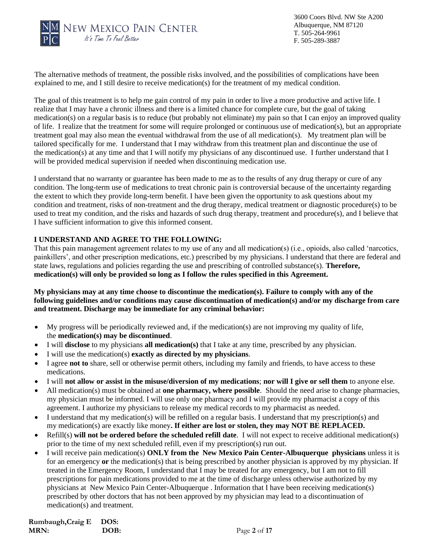

3600 Coors Blvd. NW Ste A200 Albuquerque, NM 87120 T. 505-264-9961 F. 505-289-3887

The alternative methods of treatment, the possible risks involved, and the possibilities of complications have been explained to me, and I still desire to receive medication(s) for the treatment of my medical condition.

The goal of this treatment is to help me gain control of my pain in order to live a more productive and active life. I realize that I may have a chronic illness and there is a limited chance for complete cure, but the goal of taking medication(s) on a regular basis is to reduce (but probably not eliminate) my pain so that I can enjoy an improved quality of life. I realize that the treatment for some will require prolonged or continuous use of medication(s), but an appropriate treatment goal may also mean the eventual withdrawal from the use of all medication(s). My treatment plan will be tailored specifically for me. I understand that I may withdraw from this treatment plan and discontinue the use of the medication(s) at any time and that I will notify my physicians of any discontinued use. I further understand that I will be provided medical supervision if needed when discontinuing medication use.

I understand that no warranty or guarantee has been made to me as to the results of any drug therapy or cure of any condition. The long-term use of medications to treat chronic pain is controversial because of the uncertainty regarding the extent to which they provide long-term benefit. I have been given the opportunity to ask questions about my condition and treatment, risks of non-treatment and the drug therapy, medical treatment or diagnostic procedure(s) to be used to treat my condition, and the risks and hazards of such drug therapy, treatment and procedure(s), and I believe that I have sufficient information to give this informed consent.

### **I UNDERSTAND AND AGREE TO THE FOLLOWING:**

That this pain management agreement relates to my use of any and all medication(s) (i.e., opioids, also called 'narcotics, painkillers', and other prescription medications, etc.) prescribed by my physicians. I understand that there are federal and state laws, regulations and policies regarding the use and prescribing of controlled substance(s). **Therefore, medication(s) will only be provided so long as I follow the rules specified in this Agreement.**

**My physicians may at any time choose to discontinue the medication(s). Failure to comply with any of the following guidelines and/or conditions may cause discontinuation of medication(s) and/or my discharge from care and treatment. Discharge may be immediate for any criminal behavior:**

- My progress will be periodically reviewed and, if the medication(s) are not improving my quality of life, the **medication(s) may be discontinued**.
- I will **disclose** to my physicians **all medication(s)** that I take at any time, prescribed by any physician.
- I will use the medication(s) **exactly as directed by my physicians**.
- I agree **not to** share, sell or otherwise permit others, including my family and friends, to have access to these medications.
- I will **not allow or assist in the misuse/diversion of my medications**; **nor will I give or sell them** to anyone else.
- All medication(s) must be obtained at **one pharmacy, where possible**. Should the need arise to change pharmacies, my physician must be informed. I will use only one pharmacy and I will provide my pharmacist a copy of this agreement. I authorize my physicians to release my medical records to my pharmacist as needed.
- I understand that my medication(s) will be refilled on a regular basis. I understand that my prescription(s) and my medication(s) are exactly like money**. If either are lost or stolen, they may NOT BE REPLACED.**
- Refill(s) **will not be ordered before the scheduled refill date**. I will not expect to receive additional medication(s) prior to the time of my next scheduled refill, even if my prescription(s) run out.
- I will receive pain medication(s) **ONLY from the New Mexico Pain Center-Albuquerque physicians** unless it is for an emergency **or** the medication(s) that is being prescribed by another physician is approved by my physician. If treated in the Emergency Room, I understand that I may be treated for any emergency, but I am not to fill prescriptions for pain medications provided to me at the time of discharge unless otherwise authorized by my physicians at New Mexico Pain Center-Albuquerque . Information that I have been receiving medication(s) prescribed by other doctors that has not been approved by my physician may lead to a discontinuation of medication(s) and treatment.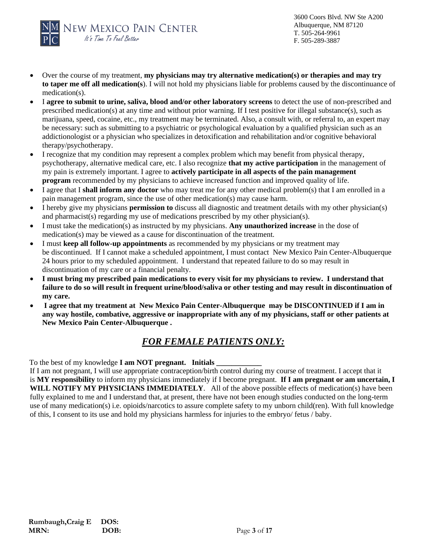

- Over the course of my treatment, **my physicians may try alternative medication(s) or therapies and may try to taper me off all medication(s**). I will not hold my physicians liable for problems caused by the discontinuance of medication(s).
- I **agree to submit to urine, saliva, blood and/or other laboratory screens** to detect the use of non-prescribed and prescribed medication(s) at any time and without prior warning. If I test positive for illegal substance(s), such as marijuana, speed, cocaine, etc., my treatment may be terminated. Also, a consult with, or referral to, an expert may be necessary: such as submitting to a psychiatric or psychological evaluation by a qualified physician such as an addictionologist or a physician who specializes in detoxification and rehabilitation and/or cognitive behavioral therapy/psychotherapy.
- I recognize that my condition may represent a complex problem which may benefit from physical therapy, psychotherapy, alternative medical care, etc. I also recognize **that my active participation** in the management of my pain is extremely important. I agree to **actively participate in all aspects of the pain management program** recommended by my physicians to achieve increased function and improved quality of life.
- I agree that I **shall inform any doctor** who may treat me for any other medical problem(s) that I am enrolled in a pain management program, since the use of other medication(s) may cause harm.
- I hereby give my physicians **permission to** discuss all diagnostic and treatment details with my other physician(s) and pharmacist(s) regarding my use of medications prescribed by my other physician(s).
- I must take the medication(s) as instructed by my physicians. **Any unauthorized increase** in the dose of medication(s) may be viewed as a cause for discontinuation of the treatment.
- I must **keep all follow-up appointments** as recommended by my physicians or my treatment may be discontinued. If I cannot make a scheduled appointment, I must contact New Mexico Pain Center-Albuquerque 24 hours prior to my scheduled appointment. I understand that repeated failure to do so may result in discontinuation of my care or a financial penalty.
- **I must bring my prescribed pain medications to every visit for my physicians to review. I understand that failure to do so will result in frequent urine/blood/saliva or other testing and may result in discontinuation of my care.**
- **I agree that my treatment at New Mexico Pain Center-Albuquerque may be DISCONTINUED if I am in any way hostile, combative, aggressive or inappropriate with any of my physicians, staff or other patients at New Mexico Pain Center-Albuquerque .**

# *FOR FEMALE PATIENTS ONLY:*

To the best of my knowledge **I am NOT pregnant. Initials** 

If I am not pregnant, I will use appropriate contraception/birth control during my course of treatment. I accept that it is **MY responsibility** to inform my physicians immediately if I become pregnant. **If I am pregnant or am uncertain, I WILL NOTIFY MY PHYSICIANS IMMEDIATELY**. All of the above possible effects of medication(s) have been fully explained to me and I understand that, at present, there have not been enough studies conducted on the long-term use of many medication(s) i.e. opioids/narcotics to assure complete safety to my unborn child(ren). With full knowledge of this, I consent to its use and hold my physicians harmless for injuries to the embryo/ fetus / baby.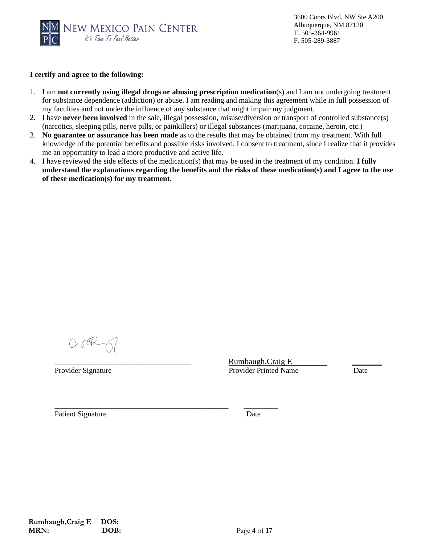

### **I certify and agree to the following:**

- 1. I am **not currently using illegal drugs or abusing prescription medication**(s) and I am not undergoing treatment for substance dependence (addiction) or abuse. I am reading and making this agreement while in full possession of my faculties and not under the influence of any substance that might impair my judgment.
- 2. I have **never been involved** in the sale, illegal possession, misuse/diversion or transport of controlled substance(s) (narcotics, sleeping pills, nerve pills, or painkillers) or illegal substances (marijuana, cocaine, heroin, etc.)
- 3. **No guarantee or assurance has been made** as to the results that may be obtained from my treatment. With full knowledge of the potential benefits and possible risks involved, I consent to treatment, since I realize that it provides me an opportunity to lead a more productive and active life.
- 4. I have reviewed the side effects of the medication(s) that may be used in the treatment of my condition. **I fully understand the explanations regarding the benefits and the risks of these medication(s) and I agree to the use of these medication(s) for my treatment.**

\_\_\_\_\_\_\_\_\_\_\_\_\_\_\_\_\_\_\_\_\_\_\_\_\_\_\_\_\_\_\_\_\_\_\_\_\_\_\_\_\_\_\_\_\_\_ \_\_\_\_\_\_\_\_\_

Rumbaugh,Craig E Provider Signature Date Printed Name Date

Patient Signature Date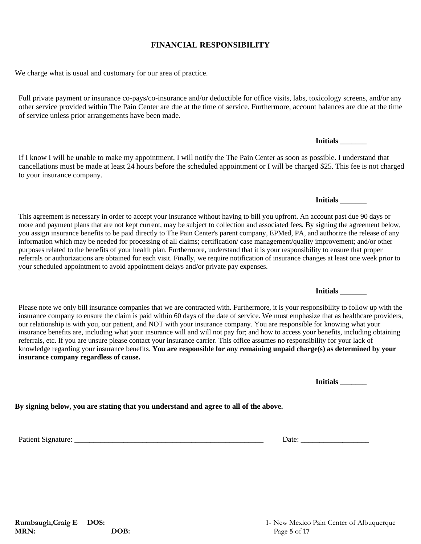**MRN: DOB: Page 5** of **17** 

## **FINANCIAL RESPONSIBILITY**

We charge what is usual and customary for our area of practice.

Full private payment or insurance co-pays/co-insurance and/or deductible for office visits, labs, toxicology screens, and/or any other service provided within The Pain Center are due at the time of service. Furthermore, account balances are due at the time of service unless prior arrangements have been made.

If I know I will be unable to make my appointment, I will notify the The Pain Center as soon as possible. I understand that cancellations must be made at least 24 hours before the scheduled appointment or I will be charged \$25. This fee is not charged to your insurance company.

This agreement is necessary in order to accept your insurance without having to bill you upfront. An account past due 90 days or more and payment plans that are not kept current, may be subject to collection and associated fees. By signing the agreement below, you assign insurance benefits to be paid directly to The Pain Center's parent company, EPMed, PA, and authorize the release of any information which may be needed for processing of all claims; certification/ case management/quality improvement; and/or other purposes related to the benefits of your health plan. Furthermore, understand that it is your responsibility to ensure that proper referrals or authorizations are obtained for each visit. Finally, we require notification of insurance changes at least one week prior to your scheduled appointment to avoid appointment delays and/or private pay expenses.

Please note we only bill insurance companies that we are contracted with. Furthermore, it is your responsibility to follow up with the insurance company to ensure the claim is paid within 60 days of the date of service. We must emphasize that as healthcare providers, our relationship is with you, our patient, and NOT with your insurance company. You are responsible for knowing what your insurance benefits are, including what your insurance will and will not pay for; and how to access your benefits, including obtaining referrals, etc. If you are unsure please contact your insurance carrier. This office assumes no responsibility for your lack of knowledge regarding your insurance benefits. **You are responsible for any remaining unpaid charge(s) as determined by your insurance company regardless of cause.**

**Initials \_\_\_\_\_\_\_**

**By signing below, you are stating that you understand and agree to all of the above.**

**Initials \_\_\_\_\_\_\_**

**Initials \_\_\_\_\_\_\_**

**Initials \_\_\_\_\_\_\_**

Patient Signature: \_\_\_\_\_\_\_\_\_\_\_\_\_\_\_\_\_\_\_\_\_\_\_\_\_\_\_\_\_\_\_\_\_\_\_\_\_\_\_\_\_\_\_\_\_\_\_\_\_\_ Date: \_\_\_\_\_\_\_\_\_\_\_\_\_\_\_\_\_\_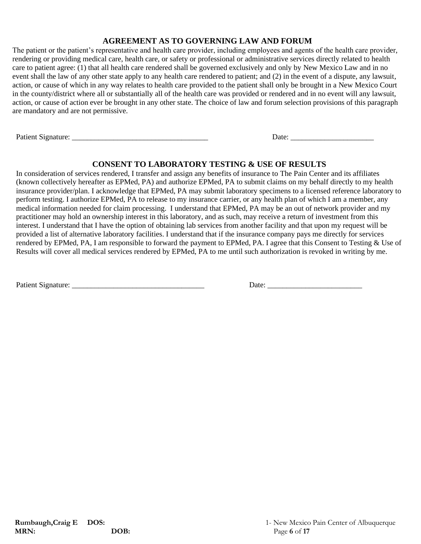### **AGREEMENT AS TO GOVERNING LAW AND FORUM**

The patient or the patient's representative and health care provider, including employees and agents of the health care provider, rendering or providing medical care, health care, or safety or professional or administrative services directly related to health care to patient agree: (1) that all health care rendered shall be governed exclusively and only by New Mexico Law and in no event shall the law of any other state apply to any health care rendered to patient; and (2) in the event of a dispute, any lawsuit, action, or cause of which in any way relates to health care provided to the patient shall only be brought in a New Mexico Court in the county/district where all or substantially all of the health care was provided or rendered and in no event will any lawsuit, action, or cause of action ever be brought in any other state. The choice of law and forum selection provisions of this paragraph are mandatory and are not permissive.

Patient Signature: \_\_\_\_\_\_\_\_\_\_\_\_\_\_\_\_\_\_\_\_\_\_\_\_\_\_\_\_\_\_\_\_\_\_\_\_ Date: \_\_\_\_\_\_\_\_\_\_\_\_\_\_\_\_\_\_\_\_\_\_

## **CONSENT TO LABORATORY TESTING & USE OF RESULTS**

In consideration of services rendered, I transfer and assign any benefits of insurance to The Pain Center and its affiliates (known collectively hereafter as EPMed, PA) and authorize EPMed, PA to submit claims on my behalf directly to my health insurance provider/plan. I acknowledge that EPMed, PA may submit laboratory specimens to a licensed reference laboratory to perform testing. I authorize EPMed, PA to release to my insurance carrier, or any health plan of which I am a member, any medical information needed for claim processing. I understand that EPMed, PA may be an out of network provider and my practitioner may hold an ownership interest in this laboratory, and as such, may receive a return of investment from this interest. I understand that I have the option of obtaining lab services from another facility and that upon my request will be provided a list of alternative laboratory facilities. I understand that if the insurance company pays me directly for services rendered by EPMed, PA, I am responsible to forward the payment to EPMed, PA. I agree that this Consent to Testing & Use of Results will cover all medical services rendered by EPMed, PA to me until such authorization is revoked in writing by me.

Patient Signature: \_\_\_\_\_\_\_\_\_\_\_\_\_\_\_\_\_\_\_\_\_\_\_\_\_\_\_\_\_\_\_\_\_\_\_ Date: \_\_\_\_\_\_\_\_\_\_\_\_\_\_\_\_\_\_\_\_\_\_\_\_\_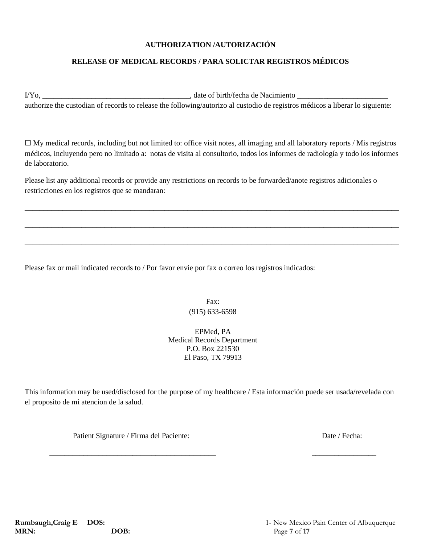### **AUTHORIZATION /AUTORIZACIÓN**

### **RELEASE OF MEDICAL RECORDS / PARA SOLICTAR REGISTROS MÉDICOS**

I/Yo, \_\_\_\_\_\_\_\_\_\_\_\_\_\_\_\_\_\_\_\_\_\_\_\_\_\_\_\_\_\_\_\_\_\_\_\_\_\_\_, date of birth/fecha de Nacimiento \_\_\_\_\_\_\_\_\_\_\_\_\_\_\_\_\_\_\_\_\_\_\_\_ authorize the custodian of records to release the following/autorizo al custodio de registros médicos a liberar lo siguiente:

☐ My medical records, including but not limited to: office visit notes, all imaging and all laboratory reports / Mis registros médicos, incluyendo pero no limitado a: notas de visita al consultorio, todos los informes de radiología y todo los informes de laboratorio.

\_\_\_\_\_\_\_\_\_\_\_\_\_\_\_\_\_\_\_\_\_\_\_\_\_\_\_\_\_\_\_\_\_\_\_\_\_\_\_\_\_\_\_\_\_\_\_\_\_\_\_\_\_\_\_\_\_\_\_\_\_\_\_\_\_\_\_\_\_\_\_\_\_\_\_\_\_\_\_\_\_\_\_\_\_\_\_\_\_\_\_\_\_\_\_\_\_\_\_

\_\_\_\_\_\_\_\_\_\_\_\_\_\_\_\_\_\_\_\_\_\_\_\_\_\_\_\_\_\_\_\_\_\_\_\_\_\_\_\_\_\_\_\_\_\_\_\_\_\_\_\_\_\_\_\_\_\_\_\_\_\_\_\_\_\_\_\_\_\_\_\_\_\_\_\_\_\_\_\_\_\_\_\_\_\_\_\_\_\_\_\_\_\_\_\_\_\_\_

\_\_\_\_\_\_\_\_\_\_\_\_\_\_\_\_\_\_\_\_\_\_\_\_\_\_\_\_\_\_\_\_\_\_\_\_\_\_\_\_\_\_\_\_\_\_\_\_\_\_\_\_\_\_\_\_\_\_\_\_\_\_\_\_\_\_\_\_\_\_\_\_\_\_\_\_\_\_\_\_\_\_\_\_\_\_\_\_\_\_\_\_\_\_\_\_\_\_\_

Please list any additional records or provide any restrictions on records to be forwarded/anote registros adicionales o restricciones en los registros que se mandaran:

Please fax or mail indicated records to / Por favor envie por fax o correo los registros indicados:

Fax: (915) 633-6598

EPMed, PA Medical Records Department P.O. Box 221530 El Paso, TX 79913

This information may be used/disclosed for the purpose of my healthcare / Esta información puede ser usada/revelada con el proposito de mi atencion de la salud.

Patient Signature / Firma del Paciente: Date / Fecha: Date / Fecha:

\_\_\_\_\_\_\_\_\_\_\_\_\_\_\_\_\_\_\_\_\_\_\_\_\_\_\_\_\_\_\_\_\_\_\_\_\_\_\_\_\_\_\_\_ \_\_\_\_\_\_\_\_\_\_\_\_\_\_\_\_\_

**MRN: DOB: Page 7** of 17

**Rumbaugh, Craig E DOS:** 1- New Mexico Pain Center of Albuquerque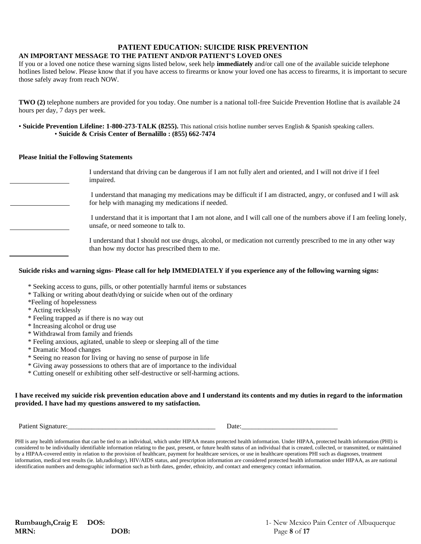# **PATIENT EDUCATION: SUICIDE RISK PREVENTION**

### **AN IMPORTANT MESSAGE TO THE PATIENT AND/OR PATIENT'S LOVED ONES**

If you or a loved one notice these warning signs listed below, seek help **immediately** and/or call one of the available suicide telephone hotlines listed below. Please know that if you have access to firearms or know your loved one has access to firearms, it is important to secure those safely away from reach NOW.

**TWO (2)** telephone numbers are provided for you today. One number is a national toll-free Suicide Prevention Hotline that is available 24 hours per day, 7 days per week.

• **Suicide Prevention Lifeline: 1-800-273-TALK (8255).** This national crisis hotline number serves English & Spanish speaking callers. • **Suicide & Crisis Center of Bernalillo : (855) 662-7474**

#### **Please Initial the Following Statements**

| I understand that driving can be dangerous if I am not fully alert and oriented, and I will not drive if I feel<br>impaired.                                         |
|----------------------------------------------------------------------------------------------------------------------------------------------------------------------|
| I understand that managing my medications may be difficult if I am distracted, angry, or confused and I will ask<br>for help with managing my medications if needed. |
| I understand that it is important that I am not alone, and I will call one of the numbers above if I am feeling lonely,<br>unsafe, or need someone to talk to.       |
| I understand that I should not use drugs, alcohol, or medication not currently prescribed to me in any other way<br>than how my doctor has prescribed them to me.    |

### **Suicide risks and warning signs- Please call for help IMMEDIATELY if you experience any of the following warning signs:**

- \* Seeking access to guns, pills, or other potentially harmful items or substances
- \* Talking or writing about death/dying or suicide when out of the ordinary
- \*Feeling of hopelessness
- \* Acting recklessly
- \* Feeling trapped as if there is no way out
- \* Increasing alcohol or drug use
- \* Withdrawal from family and friends
- \* Feeling anxious, agitated, unable to sleep or sleeping all of the time
- \* Dramatic Mood changes
- \* Seeing no reason for living or having no sense of purpose in life
- \* Giving away possessions to others that are of importance to the individual
- \* Cutting oneself or exhibiting other self-destructive or self-harming actions.

#### **I have received my suicide risk prevention education above and I understand its contents and my duties in regard to the information provided. I have had my questions answered to my satisfaction.**

Patient Signature:\_\_\_\_\_\_\_\_\_\_\_\_\_\_\_\_\_\_\_\_\_\_\_\_\_\_\_\_\_\_\_\_\_\_\_\_\_\_\_\_\_\_\_ Date:\_\_\_\_\_\_\_\_\_\_\_\_\_\_\_\_\_\_\_\_\_\_\_\_\_\_\_\_

PHI is any health information that can be tied to an individual, which under HIPAA means protected health information. Under HIPAA, protected health information (PHI) is considered to be individually identifiable information relating to the past, present, or future health status of an individual that is created, collected, or transmitted, or maintained by a HIPAA-covered entity in relation to the provision of healthcare, payment for healthcare services, or use in healthcare operations PHI such as diagnoses, treatment information, medical test results (ie. lab,radiology), HIV/AIDS status, and prescription information are considered protected health information under HIPAA, as are national identification numbers and demographic information such as birth dates, gender, ethnicity, and contact and emergency contact information.

**MRN: DOB: Page 8** of 17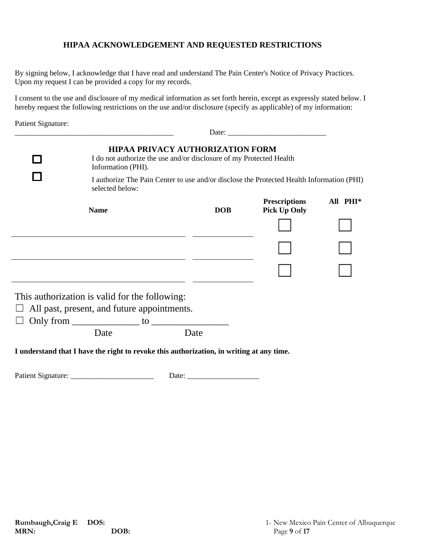## **HIPAA ACKNOWLEDGEMENT AND REQUESTED RESTRICTIONS**

By signing below, I acknowledge that I have read and understand The Pain Center's Notice of Privacy Practices. Upon my request I can be provided a copy for my records.

I consent to the use and disclosure of my medical information as set forth herein, except as expressly stated below. I hereby request the following restrictions on the use and/or disclosure (specify as applicable) of my information:

Patient Signature:

| <b>HIPAA PRIVACY AUTHORIZATION FORM</b><br>I do not authorize the use and/or disclosure of my Protected Health<br>Information (PHI).<br>I authorize The Pain Center to use and/or disclose the Protected Health Information (PHI) |                                                                                          |                                             |                      |  |  |  |  |  |  |  |  |  |
|-----------------------------------------------------------------------------------------------------------------------------------------------------------------------------------------------------------------------------------|------------------------------------------------------------------------------------------|---------------------------------------------|----------------------|--|--|--|--|--|--|--|--|--|
| selected below:<br><b>Name</b>                                                                                                                                                                                                    | <b>DOB</b>                                                                               | <b>Prescriptions</b><br><b>Pick Up Only</b> | All PHI <sup>*</sup> |  |  |  |  |  |  |  |  |  |
|                                                                                                                                                                                                                                   |                                                                                          |                                             |                      |  |  |  |  |  |  |  |  |  |
|                                                                                                                                                                                                                                   |                                                                                          |                                             |                      |  |  |  |  |  |  |  |  |  |
|                                                                                                                                                                                                                                   |                                                                                          |                                             |                      |  |  |  |  |  |  |  |  |  |
| This authorization is valid for the following:<br>All past, present, and future appointments.<br>Only from $\_\_\_\_\_$ to $\_\_\_\_\_\_\_\_$                                                                                     |                                                                                          |                                             |                      |  |  |  |  |  |  |  |  |  |
| Date                                                                                                                                                                                                                              | Date                                                                                     |                                             |                      |  |  |  |  |  |  |  |  |  |
|                                                                                                                                                                                                                                   | I understand that I have the right to revoke this authorization, in writing at any time. |                                             |                      |  |  |  |  |  |  |  |  |  |

Patient Signature: \_\_\_\_\_\_\_\_\_\_\_\_\_\_\_\_\_\_\_\_\_\_ Date: \_\_\_\_\_\_\_\_\_\_\_\_\_\_\_\_\_\_\_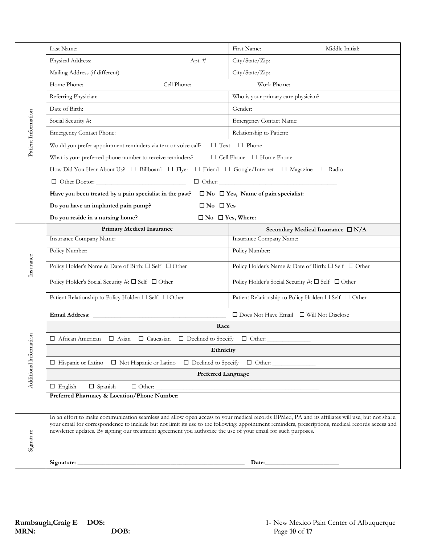|                     | Last Name:                                                                                                                                                                                                                                                                                                                                                                                                            | First Name:<br>Middle Initial:                                                                                                                                                                                                                                                                                                             |  |  |  |  |  |  |
|---------------------|-----------------------------------------------------------------------------------------------------------------------------------------------------------------------------------------------------------------------------------------------------------------------------------------------------------------------------------------------------------------------------------------------------------------------|--------------------------------------------------------------------------------------------------------------------------------------------------------------------------------------------------------------------------------------------------------------------------------------------------------------------------------------------|--|--|--|--|--|--|
|                     | Physical Address:<br>Apt. #                                                                                                                                                                                                                                                                                                                                                                                           | City/State/Zip:                                                                                                                                                                                                                                                                                                                            |  |  |  |  |  |  |
|                     | Mailing Address (if different)                                                                                                                                                                                                                                                                                                                                                                                        | City/State/Zip:                                                                                                                                                                                                                                                                                                                            |  |  |  |  |  |  |
|                     | Home Phone:<br>Cell Phone:                                                                                                                                                                                                                                                                                                                                                                                            | Work Phone:                                                                                                                                                                                                                                                                                                                                |  |  |  |  |  |  |
|                     | Referring Physician:                                                                                                                                                                                                                                                                                                                                                                                                  | Who is your primary care physician?                                                                                                                                                                                                                                                                                                        |  |  |  |  |  |  |
|                     | Date of Birth:                                                                                                                                                                                                                                                                                                                                                                                                        | Gender:                                                                                                                                                                                                                                                                                                                                    |  |  |  |  |  |  |
|                     | Social Security #:                                                                                                                                                                                                                                                                                                                                                                                                    | <b>Emergency Contact Name:</b>                                                                                                                                                                                                                                                                                                             |  |  |  |  |  |  |
|                     | <b>Emergency Contact Phone:</b>                                                                                                                                                                                                                                                                                                                                                                                       | Relationship to Patient:                                                                                                                                                                                                                                                                                                                   |  |  |  |  |  |  |
| Patient Information | Would you prefer appointment reminders via text or voice call?                                                                                                                                                                                                                                                                                                                                                        | $\Box$ Text $\Box$ Phone                                                                                                                                                                                                                                                                                                                   |  |  |  |  |  |  |
|                     | What is your preferred phone number to receive reminders?                                                                                                                                                                                                                                                                                                                                                             | $\Box$ Cell Phone $\Box$ Home Phone                                                                                                                                                                                                                                                                                                        |  |  |  |  |  |  |
|                     | How Did You Hear About Us? □ Billboard □ Flyer □ Friend □ Google/Internet □ Magazine □ Radio                                                                                                                                                                                                                                                                                                                          |                                                                                                                                                                                                                                                                                                                                            |  |  |  |  |  |  |
|                     |                                                                                                                                                                                                                                                                                                                                                                                                                       | $\begin{tabular}{ c c c } \hline \quad \quad \quad & \quad \quad \quad & \quad \quad \quad & \quad \quad \quad \\ \hline \hline \quad \quad & \quad \quad & \quad \quad & \quad \quad \quad \\ \hline \end{tabular} \hspace{1cm} Orher: \begin{tabular}{ c c c c } \hline \quad \quad & \quad \quad & \quad \quad \\ \hline \end{tabular}$ |  |  |  |  |  |  |
|                     | Have you been treated by a pain specialist in the past?                                                                                                                                                                                                                                                                                                                                                               | $\square$ No $\square$ Yes, Name of pain specialist:                                                                                                                                                                                                                                                                                       |  |  |  |  |  |  |
|                     | $\Box$ No $\Box$ Yes<br>Do you have an implanted pain pump?                                                                                                                                                                                                                                                                                                                                                           |                                                                                                                                                                                                                                                                                                                                            |  |  |  |  |  |  |
|                     | Do you reside in a nursing home?<br>$\Box$ No $\Box$ Yes, Where:                                                                                                                                                                                                                                                                                                                                                      |                                                                                                                                                                                                                                                                                                                                            |  |  |  |  |  |  |
|                     | <b>Primary Medical Insurance</b>                                                                                                                                                                                                                                                                                                                                                                                      | Secondary Medical Insurance $\Box N/A$                                                                                                                                                                                                                                                                                                     |  |  |  |  |  |  |
|                     | Insurance Company Name:                                                                                                                                                                                                                                                                                                                                                                                               | <b>Insurance Company Name:</b>                                                                                                                                                                                                                                                                                                             |  |  |  |  |  |  |
|                     | Policy Number:                                                                                                                                                                                                                                                                                                                                                                                                        | Policy Number:                                                                                                                                                                                                                                                                                                                             |  |  |  |  |  |  |
| Insurance           | Policy Holder's Name & Date of Birth: $\square$ Self $\square$ Other                                                                                                                                                                                                                                                                                                                                                  | Policy Holder's Name & Date of Birth: □ Self □ Other                                                                                                                                                                                                                                                                                       |  |  |  |  |  |  |
|                     | Policy Holder's Social Security #: □ Self □ Other                                                                                                                                                                                                                                                                                                                                                                     | Policy Holder's Social Security #: $\Box$ Self $\Box$ Other                                                                                                                                                                                                                                                                                |  |  |  |  |  |  |
|                     | Patient Relationship to Policy Holder: □ Self □ Other                                                                                                                                                                                                                                                                                                                                                                 | Patient Relationship to Policy Holder: □ Self □ Other                                                                                                                                                                                                                                                                                      |  |  |  |  |  |  |
|                     |                                                                                                                                                                                                                                                                                                                                                                                                                       | $\Box$ Does Not Have Email $\Box$ Will Not Disclose                                                                                                                                                                                                                                                                                        |  |  |  |  |  |  |
|                     | Race                                                                                                                                                                                                                                                                                                                                                                                                                  |                                                                                                                                                                                                                                                                                                                                            |  |  |  |  |  |  |
| nation              | □ African American □ Asian □ Caucasian □ Declined to Specify □ Other:                                                                                                                                                                                                                                                                                                                                                 |                                                                                                                                                                                                                                                                                                                                            |  |  |  |  |  |  |
|                     | Ethnicity                                                                                                                                                                                                                                                                                                                                                                                                             |                                                                                                                                                                                                                                                                                                                                            |  |  |  |  |  |  |
| Additional Inform   | $\Box$ Declined to Specify $\Box$ Other:<br>$\Box$ Hispanic or Latino $\Box$ Not Hispanic or Latino                                                                                                                                                                                                                                                                                                                   |                                                                                                                                                                                                                                                                                                                                            |  |  |  |  |  |  |
|                     | <b>Preferred Language</b>                                                                                                                                                                                                                                                                                                                                                                                             |                                                                                                                                                                                                                                                                                                                                            |  |  |  |  |  |  |
|                     | $\Box$ English<br>$\Box$ Spanish<br>$\Box$ $\Box$                                                                                                                                                                                                                                                                                                                                                                     |                                                                                                                                                                                                                                                                                                                                            |  |  |  |  |  |  |
|                     | Preferred Pharmacy & Location/Phone Number:                                                                                                                                                                                                                                                                                                                                                                           |                                                                                                                                                                                                                                                                                                                                            |  |  |  |  |  |  |
|                     |                                                                                                                                                                                                                                                                                                                                                                                                                       |                                                                                                                                                                                                                                                                                                                                            |  |  |  |  |  |  |
| Signature           | In an effort to make communication seamless and allow open access to your medical records EPMed, PA and its affiliates will use, but not share,<br>your email for correspondence to include but not limit its use to the following: appointment reminders, prescriptions, medical records access and<br>newsletter updates. By signing our treatment agreement you authorize the use of your email for such purposes. |                                                                                                                                                                                                                                                                                                                                            |  |  |  |  |  |  |
|                     |                                                                                                                                                                                                                                                                                                                                                                                                                       |                                                                                                                                                                                                                                                                                                                                            |  |  |  |  |  |  |
|                     |                                                                                                                                                                                                                                                                                                                                                                                                                       |                                                                                                                                                                                                                                                                                                                                            |  |  |  |  |  |  |
|                     |                                                                                                                                                                                                                                                                                                                                                                                                                       |                                                                                                                                                                                                                                                                                                                                            |  |  |  |  |  |  |
|                     |                                                                                                                                                                                                                                                                                                                                                                                                                       |                                                                                                                                                                                                                                                                                                                                            |  |  |  |  |  |  |
|                     |                                                                                                                                                                                                                                                                                                                                                                                                                       |                                                                                                                                                                                                                                                                                                                                            |  |  |  |  |  |  |
|                     |                                                                                                                                                                                                                                                                                                                                                                                                                       |                                                                                                                                                                                                                                                                                                                                            |  |  |  |  |  |  |
| MRN:                | Rumbaugh, Craig E<br>DOS:<br>DOB:                                                                                                                                                                                                                                                                                                                                                                                     | 1- New Mexico Pain Center of Albuquerque<br>Page 10 of 17                                                                                                                                                                                                                                                                                  |  |  |  |  |  |  |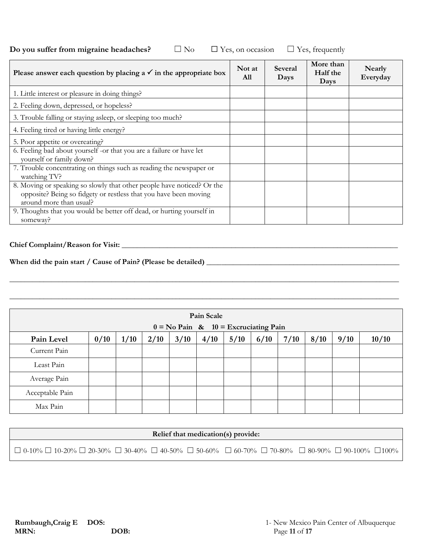| Do you suffer from migraine headaches? | $\square$ No | $\Box$ Yes, on occasion $\Box$ Yes, frequently |  |
|----------------------------------------|--------------|------------------------------------------------|--|
|----------------------------------------|--------------|------------------------------------------------|--|

| Please answer each question by placing a $\checkmark$ in the appropriate box                                                                                          | Not at<br>A11 | <b>Several</b><br>Days | More than<br>Half the<br>Days | <b>Nearly</b><br>Everyday |
|-----------------------------------------------------------------------------------------------------------------------------------------------------------------------|---------------|------------------------|-------------------------------|---------------------------|
| 1. Little interest or pleasure in doing things?                                                                                                                       |               |                        |                               |                           |
| 2. Feeling down, depressed, or hopeless?                                                                                                                              |               |                        |                               |                           |
| 3. Trouble falling or staying asleep, or sleeping too much?                                                                                                           |               |                        |                               |                           |
| 4. Feeling tired or having little energy?                                                                                                                             |               |                        |                               |                           |
| 5. Poor appetite or overeating?                                                                                                                                       |               |                        |                               |                           |
| 6. Feeling bad about yourself -or that you are a failure or have let<br>yourself or family down?                                                                      |               |                        |                               |                           |
| 7. Trouble concentrating on things such as reading the newspaper or<br>watching TV?                                                                                   |               |                        |                               |                           |
| 8. Moving or speaking so slowly that other people have noticed? Or the<br>opposite? Being so fidgety or restless that you have been moving<br>around more than usual? |               |                        |                               |                           |
| 9. Thoughts that you would be better off dead, or hurting yourself in<br>someway?                                                                                     |               |                        |                               |                           |

### **Chief Complaint/Reason for Visit:** \_\_\_\_\_\_\_\_\_\_\_\_\_\_\_\_\_\_\_\_\_\_\_\_\_\_\_\_\_\_\_\_\_\_\_\_\_\_\_\_\_\_\_\_\_\_\_\_\_\_\_\_\_\_\_\_\_\_\_\_\_\_\_\_\_\_\_\_\_\_\_\_\_

# **When did the pain start / Cause of Pain? (Please be detailed) \_\_\_\_**\_\_\_\_\_\_\_\_\_\_\_\_\_\_\_\_\_\_\_\_\_\_\_\_\_\_\_\_\_\_\_\_\_\_\_\_\_\_\_\_\_\_\_\_\_\_\_

| Pain Scale      |                                          |      |      |      |      |      |      |      |      |      |       |
|-----------------|------------------------------------------|------|------|------|------|------|------|------|------|------|-------|
|                 | $0 = No$ Pain & $10 = Excruciating$ Pain |      |      |      |      |      |      |      |      |      |       |
| Pain Level      | 0/10                                     | 1/10 | 2/10 | 3/10 | 4/10 | 5/10 | 6/10 | 7/10 | 8/10 | 9/10 | 10/10 |
| Current Pain    |                                          |      |      |      |      |      |      |      |      |      |       |
| Least Pain      |                                          |      |      |      |      |      |      |      |      |      |       |
| Average Pain    |                                          |      |      |      |      |      |      |      |      |      |       |
| Acceptable Pain |                                          |      |      |      |      |      |      |      |      |      |       |
| Max Pain        |                                          |      |      |      |      |      |      |      |      |      |       |

\_\_\_\_\_\_\_\_\_\_\_\_\_\_\_\_\_\_\_\_\_\_\_\_\_\_\_\_\_\_\_\_\_\_\_\_\_\_\_\_\_\_\_\_\_\_\_\_\_\_\_\_\_\_\_\_\_\_\_\_\_\_\_\_\_\_\_\_\_\_\_\_\_\_\_\_\_\_\_\_\_\_\_\_\_\_\_\_\_\_\_\_\_\_\_\_\_\_\_\_\_\_\_

\_\_\_\_\_\_\_\_\_\_\_\_\_\_\_\_\_\_\_\_\_\_\_\_\_\_\_\_\_\_\_\_\_\_\_\_\_\_\_\_\_\_\_\_\_\_\_\_\_\_\_\_\_\_\_\_\_\_\_\_\_\_\_\_\_\_\_\_\_\_\_\_\_\_\_\_\_\_\_\_\_\_\_\_\_\_\_\_\_\_\_\_\_\_\_\_\_\_\_\_\_\_\_

| Relief that medication(s) provide:                                                                                                                             |  |  |  |  |  |  |  |  |
|----------------------------------------------------------------------------------------------------------------------------------------------------------------|--|--|--|--|--|--|--|--|
| $\Box$ 0-10% $\Box$ 10-20% $\Box$ 20-30% $\Box$ 30-40% $\Box$ 40-50% $\Box$ 50-60% $\Box$ 60-70% $\Box$ 70-80% $\Box$ 80-90% $\Box$ 90-100% $\Box$ 100% $\Box$ |  |  |  |  |  |  |  |  |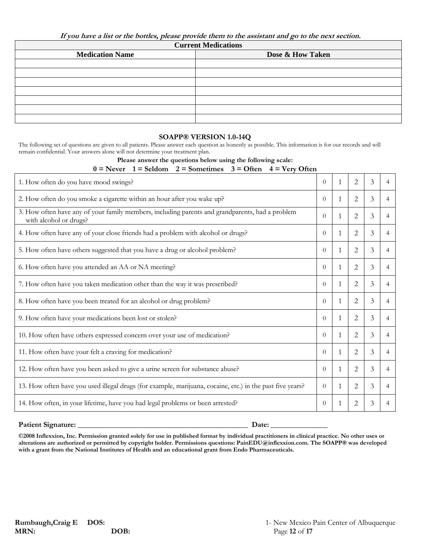**If you have a list or the bottles, please provide them to the assistant and go to the next section.**

**Current Medications**

| Carrent Medications    |                  |  |  |  |  |  |  |  |
|------------------------|------------------|--|--|--|--|--|--|--|
| <b>Medication Name</b> | Dose & How Taken |  |  |  |  |  |  |  |
|                        |                  |  |  |  |  |  |  |  |
|                        |                  |  |  |  |  |  |  |  |
|                        |                  |  |  |  |  |  |  |  |
|                        |                  |  |  |  |  |  |  |  |
|                        |                  |  |  |  |  |  |  |  |
|                        |                  |  |  |  |  |  |  |  |
|                        |                  |  |  |  |  |  |  |  |
|                        |                  |  |  |  |  |  |  |  |

### **SOAPP® VERSION 1.0-14Q**

The following set of questions are given to all patients. Please answer each question as honestly as possible. This information is for our records and will remain confidential. Your answers alone will not determine your treatment plan.

#### **Please answer the questions below using the following scale:**

 $0 =$  Never  $1 =$  Seldom  $2 =$  Sometimes  $3 =$  Often  $4 =$  Very Often

| 1. How often do you have mood swings?                                                                                     | $\Omega$ |   | 2 | 3 | 4              |
|---------------------------------------------------------------------------------------------------------------------------|----------|---|---|---|----------------|
| 2. How often do you smoke a cigarette within an hour after you wake up?                                                   | $\Omega$ | 1 | 2 | 3 | 4              |
| 3. How often have any of your family members, including parents and grandparents, had a problem<br>with alcohol or drugs? | $\Omega$ |   | 2 | 3 | 4              |
| 4. How often have any of your close friends had a problem with alcohol or drugs?                                          | $\Omega$ |   | 2 | 3 | 4              |
| 5. How often have others suggested that you have a drug or alcohol problem?                                               | $\Omega$ | 1 | 2 | 3 | 4              |
| 6. How often have you attended an AA or NA meeting?                                                                       | $\Omega$ |   | 2 | 3 | 4              |
| 7. How often have you taken medication other than the way it was prescribed?                                              | $\Omega$ | 1 | 2 | 3 | 4              |
| 8. How often have you been treated for an alcohol or drug problem?                                                        | $\Omega$ | 1 | 2 | 3 | 4              |
| 9. How often have your medications been lost or stolen?                                                                   | $\Omega$ |   | 2 | 3 | 4              |
| 10. How often have others expressed concern over your use of medication?                                                  | $\Omega$ | 1 | 2 | 3 | 4              |
| 11. How often have your felt a craving for medication?                                                                    | $\Omega$ | 1 | 2 | 3 | 4              |
| 12. How often have you been asked to give a urine screen for substance abuse?                                             | $\Omega$ | 1 | 2 | 3 | $\overline{4}$ |
| 13. How often have you used illegal drugs (for example, marijuana, cocaine, etc.) in the past five years?                 | $\Omega$ |   | 2 | 3 | 4              |
| 14. How often, in your lifetime, have you had legal problems or been arrested?                                            | $\Omega$ |   | 2 | 3 |                |

#### **Patient Signature: \_\_\_\_\_\_\_\_\_\_\_\_\_\_\_\_\_\_\_\_\_\_\_\_\_\_\_\_\_\_\_\_\_\_\_\_\_\_\_\_\_\_\_\_\_ Date: \_\_\_\_\_\_\_\_\_\_\_\_\_\_\_**

**©2008 Inflexxion, Inc. Permission granted solely for use in published format by individual practitioners in clinical practice. No other uses or alterations are authorized or permitted by copyright holder. Permissions questions: PainEDU@inflexxion.com. The SOAPP® was developed with a grant from the National Institutes of Health and an educational grant from Endo Pharmaceuticals.**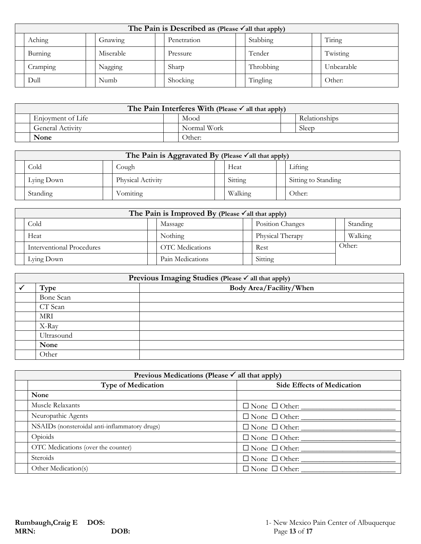| The Pain is Described as (Please $\checkmark$ all that apply) |  |           |  |             |  |           |  |            |  |  |
|---------------------------------------------------------------|--|-----------|--|-------------|--|-----------|--|------------|--|--|
| Aching                                                        |  | Gnawing   |  | Penetration |  | Stabbing  |  | Tiring     |  |  |
| Burning                                                       |  | Miserable |  | Pressure    |  | Tender    |  | Twisting   |  |  |
| Cramping                                                      |  | Nagging   |  | Sharp       |  | Throbbing |  | Unbearable |  |  |
| Dull                                                          |  | Numb      |  | Shocking    |  | Tingling  |  | Other:     |  |  |

| The Pain Interferes With (Please $\checkmark$ all that apply) |  |             |  |               |  |  |  |  |
|---------------------------------------------------------------|--|-------------|--|---------------|--|--|--|--|
| Enjoyment of Life                                             |  | Mood        |  | Relationships |  |  |  |  |
| <b>General Activity</b>                                       |  | Normal Work |  | Sleep         |  |  |  |  |
| None                                                          |  | Other:      |  |               |  |  |  |  |

| The Pain is Aggravated By (Please $\checkmark$ all that apply) |  |                   |  |         |  |                     |  |  |  |  |
|----------------------------------------------------------------|--|-------------------|--|---------|--|---------------------|--|--|--|--|
| Cold                                                           |  | Cough             |  | Heat    |  | Lifting             |  |  |  |  |
| Lying Down                                                     |  | Physical Activity |  | Sitting |  | Sitting to Standing |  |  |  |  |
| Standing                                                       |  | Vomiting          |  | Walking |  | Other:              |  |  |  |  |

| The Pain is Improved By (Please $\checkmark$ all that apply) |  |                        |  |                  |  |         |  |  |  |
|--------------------------------------------------------------|--|------------------------|--|------------------|--|---------|--|--|--|
| Position Changes<br>Cold<br>Standing<br>Massage              |  |                        |  |                  |  |         |  |  |  |
| Heat                                                         |  | Nothing                |  | Physical Therapy |  | Walking |  |  |  |
| Interventional Procedures                                    |  | <b>OTC</b> Medications |  | Rest             |  | Other:  |  |  |  |
| Lying Down                                                   |  | Pain Medications       |  | Sitting          |  |         |  |  |  |

| Previous Imaging Studies (Please √ all that apply) |                         |  |  |  |  |  |
|----------------------------------------------------|-------------------------|--|--|--|--|--|
| Type                                               | Body Area/Facility/When |  |  |  |  |  |
| Bone Scan                                          |                         |  |  |  |  |  |
| CT Scan                                            |                         |  |  |  |  |  |
| <b>MRI</b>                                         |                         |  |  |  |  |  |
| X-Ray                                              |                         |  |  |  |  |  |
| Ultrasound                                         |                         |  |  |  |  |  |
| None                                               |                         |  |  |  |  |  |
| Other                                              |                         |  |  |  |  |  |

| Previous Medications (Please $\checkmark$ all that apply) |                                   |  |  |  |  |  |  |
|-----------------------------------------------------------|-----------------------------------|--|--|--|--|--|--|
| <b>Type of Medication</b>                                 | <b>Side Effects of Medication</b> |  |  |  |  |  |  |
| None                                                      |                                   |  |  |  |  |  |  |
| Muscle Relaxants                                          | $\Box$ None $\Box$ Other:         |  |  |  |  |  |  |
| Neuropathic Agents                                        | $\Box$ None $\Box$ Other:         |  |  |  |  |  |  |
| NSAIDs (nonsteroidal anti-inflammatory drugs)             | $\Box$ None $\Box$ Other:         |  |  |  |  |  |  |
| Opioids                                                   | $\Box$ None $\Box$ Other:         |  |  |  |  |  |  |
| OTC Medications (over the counter)                        | $\Box$ None $\Box$ Other: $\_\_$  |  |  |  |  |  |  |
| <b>Steroids</b>                                           | $\Box$ None $\Box$ Other:         |  |  |  |  |  |  |
| Other Medication(s)                                       | $\Box$ None $\Box$ Other:         |  |  |  |  |  |  |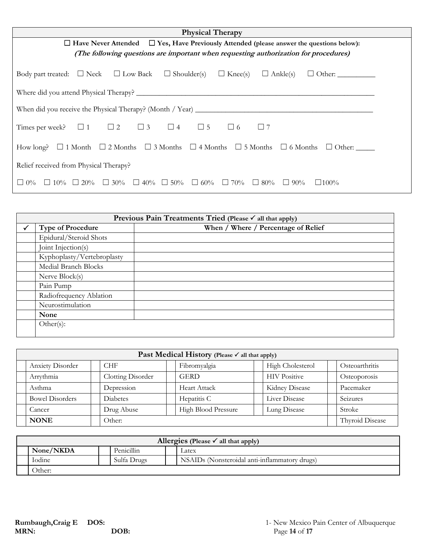| <b>Physical Therapy</b>                                                                                                                             |  |  |  |  |  |  |  |  |  |
|-----------------------------------------------------------------------------------------------------------------------------------------------------|--|--|--|--|--|--|--|--|--|
| $\Box$ Have Never Attended $\Box$ Yes, Have Previously Attended (please answer the questions below):                                                |  |  |  |  |  |  |  |  |  |
| (The following questions are important when requesting authorization for procedures)                                                                |  |  |  |  |  |  |  |  |  |
| Body part treated: $\Box$ Neck $\Box$ Low Back $\Box$ Shoulder(s)<br>$\Box$ Knee(s)<br>$\Box$ Ankle(s)                                              |  |  |  |  |  |  |  |  |  |
|                                                                                                                                                     |  |  |  |  |  |  |  |  |  |
| When did you receive the Physical Therapy? (Month / Year) $\frac{1}{2}$                                                                             |  |  |  |  |  |  |  |  |  |
| Times per week? $\Box$ 1 $\Box$ 2 $\Box$ 3 $\Box$ 4 $\Box$ 5<br>$\Box$ 6<br>$\Box$ 7                                                                |  |  |  |  |  |  |  |  |  |
| How long? $\Box$ 1 Month $\Box$ 2 Months $\Box$ 3 Months $\Box$ 4 Months $\Box$ 5 Months $\Box$ 6 Months $\Box$ Other:                              |  |  |  |  |  |  |  |  |  |
| Relief received from Physical Therapy?                                                                                                              |  |  |  |  |  |  |  |  |  |
| $\Box$ 10% $\Box$ 20%<br>$\Box$ 30%<br>$\Box$ 40% $\Box$ 50% $\Box$ 60%<br>$\Box$ 70%<br>$1.0\%$<br>$\Box$ 80%<br>$\perp$<br>$90\%$<br>$\Box 100\%$ |  |  |  |  |  |  |  |  |  |

|              | Previous Pain Treatments Tried (Please $\checkmark$ all that apply) |                                     |  |  |  |  |  |
|--------------|---------------------------------------------------------------------|-------------------------------------|--|--|--|--|--|
| $\checkmark$ | <b>Type of Procedure</b>                                            | When / Where / Percentage of Relief |  |  |  |  |  |
|              | Epidural/Steroid Shots                                              |                                     |  |  |  |  |  |
|              | Joint Injection(s)                                                  |                                     |  |  |  |  |  |
|              | Kyphoplasty/Vertebroplasty                                          |                                     |  |  |  |  |  |
|              | Medial Branch Blocks                                                |                                     |  |  |  |  |  |
|              | Nerve Block(s)                                                      |                                     |  |  |  |  |  |
|              | Pain Pump                                                           |                                     |  |  |  |  |  |
|              | Radiofrequency Ablation                                             |                                     |  |  |  |  |  |
|              | Neurostimulation                                                    |                                     |  |  |  |  |  |
|              | None                                                                |                                     |  |  |  |  |  |
|              | Other(s):                                                           |                                     |  |  |  |  |  |

| Past Medical History (Please √ all that apply)                     |  |                   |                     |                     |              |                     |        |                 |  |  |
|--------------------------------------------------------------------|--|-------------------|---------------------|---------------------|--------------|---------------------|--------|-----------------|--|--|
| Fibromyalgia<br>High Cholesterol<br><b>CHF</b><br>Anxiety Disorder |  |                   |                     |                     |              |                     |        | Osteoarthritis  |  |  |
| Arrythmia                                                          |  | Clotting Disorder |                     | <b>GERD</b>         |              | <b>HIV Positive</b> |        | Osteoporosis    |  |  |
| Asthma                                                             |  | Depression        |                     | <b>Heart Attack</b> |              | Kidney Disease      |        | Pacemaker       |  |  |
| <b>Bowel Disorders</b>                                             |  | Diabetes          |                     | Hepatitis C         |              | Liver Disease       |        | Seizures        |  |  |
| Drug Abuse<br>Cancer                                               |  |                   | High Blood Pressure |                     | Lung Disease |                     | Stroke |                 |  |  |
| <b>NONE</b><br>Other:                                              |  |                   |                     |                     |              |                     |        | Thyroid Disease |  |  |

| Allergies (Please $\checkmark$ all that apply) |             |  |                                               |  |  |  |  |  |
|------------------------------------------------|-------------|--|-----------------------------------------------|--|--|--|--|--|
| None/NKDA                                      | Penicillin  |  | Latex                                         |  |  |  |  |  |
| Iodine                                         | Sulfa Drugs |  | NSAIDs (Nonsteroidal anti-inflammatory drugs) |  |  |  |  |  |
| Other:                                         |             |  |                                               |  |  |  |  |  |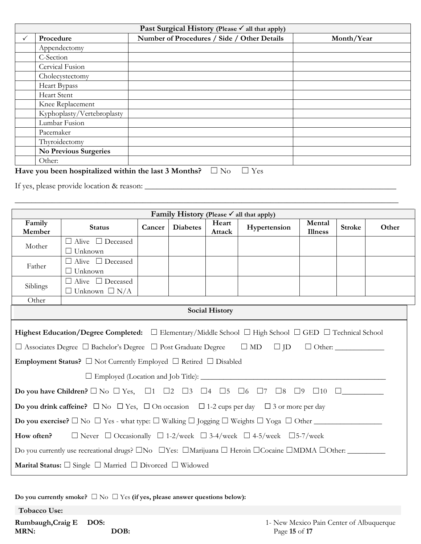| Past Surgical History (Please √ all that apply) |                              |                                             |            |  |  |  |  |  |  |
|-------------------------------------------------|------------------------------|---------------------------------------------|------------|--|--|--|--|--|--|
|                                                 | Procedure                    | Number of Procedures / Side / Other Details | Month/Year |  |  |  |  |  |  |
|                                                 | Appendectomy                 |                                             |            |  |  |  |  |  |  |
|                                                 | C-Section                    |                                             |            |  |  |  |  |  |  |
|                                                 | Cervical Fusion              |                                             |            |  |  |  |  |  |  |
|                                                 | Cholecystectomy              |                                             |            |  |  |  |  |  |  |
|                                                 | Heart Bypass                 |                                             |            |  |  |  |  |  |  |
|                                                 | Heart Stent                  |                                             |            |  |  |  |  |  |  |
|                                                 | Knee Replacement             |                                             |            |  |  |  |  |  |  |
|                                                 | Kyphoplasty/Vertebroplasty   |                                             |            |  |  |  |  |  |  |
|                                                 | Lumbar Fusion                |                                             |            |  |  |  |  |  |  |
|                                                 | Pacemaker                    |                                             |            |  |  |  |  |  |  |
|                                                 | Thyroidectomy                |                                             |            |  |  |  |  |  |  |
|                                                 | <b>No Previous Surgeries</b> |                                             |            |  |  |  |  |  |  |
|                                                 | Other:                       |                                             |            |  |  |  |  |  |  |

\_\_\_\_\_\_\_\_\_\_\_\_\_\_\_\_\_\_\_\_\_\_\_\_\_\_\_\_\_\_\_\_\_\_\_\_\_\_\_\_\_\_\_\_\_\_\_\_\_\_\_\_\_\_\_\_\_\_\_\_\_\_\_\_\_\_\_\_\_\_\_\_\_\_\_\_\_\_\_\_\_\_\_\_\_\_\_\_\_\_\_\_\_

# Have you been hospitalized within the last 3 Months? □ No □ Yes

If yes, please provide location & reason: \_\_\_\_\_\_\_\_\_\_\_\_\_\_\_\_\_\_\_\_\_\_\_\_\_\_\_\_\_\_\_\_\_\_\_\_\_\_\_\_\_\_\_\_\_\_\_\_\_\_\_\_\_\_\_\_\_\_\_\_\_

| Family History (Please $\checkmark$ all that apply)                                                                                                                                                                                                                                                                                                |                                                                                                                                               |        |                 |                       |              |                          |               |       |
|----------------------------------------------------------------------------------------------------------------------------------------------------------------------------------------------------------------------------------------------------------------------------------------------------------------------------------------------------|-----------------------------------------------------------------------------------------------------------------------------------------------|--------|-----------------|-----------------------|--------------|--------------------------|---------------|-------|
| Family<br>Member                                                                                                                                                                                                                                                                                                                                   | <b>Status</b>                                                                                                                                 | Cancer | <b>Diabetes</b> | Heart<br>Attack       | Hypertension | Mental<br><b>Illness</b> | <b>Stroke</b> | Other |
| Mother                                                                                                                                                                                                                                                                                                                                             | $\Box$ Alive $\Box$ Deceased<br>$\Box$ Unknown                                                                                                |        |                 |                       |              |                          |               |       |
| Father                                                                                                                                                                                                                                                                                                                                             | $\Box$ Alive $\Box$ Deceased<br>$\Box$ Unknown                                                                                                |        |                 |                       |              |                          |               |       |
| Siblings                                                                                                                                                                                                                                                                                                                                           | $\Box$ Alive $\Box$ Deceased<br>$\Box$ Unknown $\Box$ N/A                                                                                     |        |                 |                       |              |                          |               |       |
| Other                                                                                                                                                                                                                                                                                                                                              |                                                                                                                                               |        |                 |                       |              |                          |               |       |
|                                                                                                                                                                                                                                                                                                                                                    |                                                                                                                                               |        |                 | <b>Social History</b> |              |                          |               |       |
| Highest Education/Degree Completed: $\square$ Elementary/Middle School $\square$ High School $\square$ GED $\square$ Technical School<br>$\Box$ Associates Degree $\Box$ Bachelor's Degree $\Box$ Post Graduate Degree $\Box$ MD $\Box$ JD $\Box$ Other:<br><b>Employment Status?</b> $\Box$ Not Currently Employed $\Box$ Retired $\Box$ Disabled |                                                                                                                                               |        |                 |                       |              |                          |               |       |
|                                                                                                                                                                                                                                                                                                                                                    |                                                                                                                                               |        |                 |                       |              |                          |               |       |
|                                                                                                                                                                                                                                                                                                                                                    | Do you have Children? $\Box$ No $\Box$ Yes, $\Box$ 1 $\Box$ 2 $\Box$ 3 $\Box$ 4 $\Box$ 5 $\Box$ 6 $\Box$ 7 $\Box$ 8 $\Box$ 9 $\Box$ 10 $\Box$ |        |                 |                       |              |                          |               |       |
|                                                                                                                                                                                                                                                                                                                                                    | <b>Do you drink caffeine?</b> $\Box$ No $\Box$ Yes, $\Box$ On occasion $\Box$ 1-2 cups per day $\Box$ 3 or more per day                       |        |                 |                       |              |                          |               |       |
| <b>Do you exercise?</b> $\Box$ No $\Box$ Yes - what type: $\Box$ Walking $\Box$ Jogging $\Box$ Weights $\Box$ Yoga $\Box$ Other                                                                                                                                                                                                                    |                                                                                                                                               |        |                 |                       |              |                          |               |       |
| How often?<br>$\Box$ Never $\Box$ Occasionally $\Box$ 1-2/week $\Box$ 3-4/week $\Box$ 4-5/week $\Box$ 5-7/week                                                                                                                                                                                                                                     |                                                                                                                                               |        |                 |                       |              |                          |               |       |
| Do you currently use recreational drugs? $\square$ No $\square$ Yes: $\square$ Marijuana $\square$ Heroin $\square$ Cocaine $\square$ MDMA $\square$ Other:                                                                                                                                                                                        |                                                                                                                                               |        |                 |                       |              |                          |               |       |
|                                                                                                                                                                                                                                                                                                                                                    | Marital Status: $\square$ Single $\square$ Married $\square$ Divorced $\square$ Widowed                                                       |        |                 |                       |              |                          |               |       |

**Do you currently smoke?** ☐ No ☐ Yes **(if yes, please answer questions below):**

**Tobacco Use:**

**MRN: DOB:** Page **15** of **17**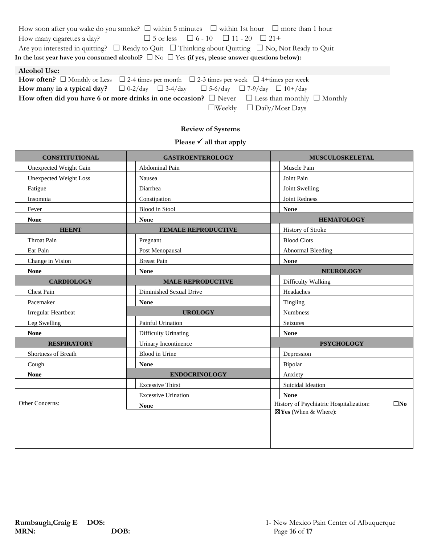| How soon after you wake do you smoke? $\Box$ within 5 minutes $\Box$ within 1st hour $\Box$ more than 1 hour                                                                                                                       |  |  |  |  |  |  |  |
|------------------------------------------------------------------------------------------------------------------------------------------------------------------------------------------------------------------------------------|--|--|--|--|--|--|--|
| $\Box$ 5 or less $\Box$ 6 - 10 $\Box$ 11 - 20 $\Box$ 21+<br>How many cigarettes a day?                                                                                                                                             |  |  |  |  |  |  |  |
| Are you interested in quitting? $\Box$ Ready to Quit $\Box$ Thinking about Quitting $\Box$ No, Not Ready to Quit                                                                                                                   |  |  |  |  |  |  |  |
| In the last year have you consumed alcohol? $\Box$ No $\Box$ Yes (if yes, please answer questions below):                                                                                                                          |  |  |  |  |  |  |  |
| <b>Alcohol Use:</b>                                                                                                                                                                                                                |  |  |  |  |  |  |  |
| <b>How often?</b> $\Box$ Monthly or Less $\Box$ 2-4 times per month $\Box$ 2-3 times per week $\Box$ 4+times per week                                                                                                              |  |  |  |  |  |  |  |
| $\mathcal{L}$ , and a set of the set of the set of the set of the set of the set of the set of the set of the set of the set of the set of the set of the set of the set of the set of the set of the set of the set of the set of |  |  |  |  |  |  |  |

| <b>Trum</b> of the specifical control of the specifical control $\Box$ 2-3 times per week $\Box$ 4+ times per week |  |                                      |  |
|--------------------------------------------------------------------------------------------------------------------|--|--------------------------------------|--|
| <b>How many in a typical day?</b> $\Box$ 0-2/day $\Box$ 3-4/day $\Box$ 5-6/day $\Box$ 7-9/day $\Box$ 10+/day       |  |                                      |  |
| How often did you have 6 or more drinks in one occasion? $\Box$ Never $\Box$ Less than monthly $\Box$ Monthly      |  |                                      |  |
|                                                                                                                    |  | $\Box$ Weekly $\Box$ Daily/Most Days |  |

# **Review of Systems**

**Please √ all that apply** 

| <b>CONSTITUTIONAL</b>         | <b>GASTROENTEROLOGY</b>    | <b>MUSCULOSKELETAL</b>                                  |  |
|-------------------------------|----------------------------|---------------------------------------------------------|--|
| Unexpected Weight Gain        | Abdominal Pain             | Muscle Pain                                             |  |
| <b>Unexpected Weight Loss</b> | Nausea                     | Joint Pain                                              |  |
| Fatigue                       | Diarrhea                   | Joint Swelling                                          |  |
| Insomnia                      | Constipation               | Joint Redness                                           |  |
| Fever                         | <b>Blood</b> in Stool      | <b>None</b>                                             |  |
| <b>None</b>                   | <b>None</b>                | <b>HEMATOLOGY</b>                                       |  |
| <b>HEENT</b>                  | <b>FEMALE REPRODUCTIVE</b> | <b>History of Stroke</b>                                |  |
| Throat Pain                   | Pregnant                   | <b>Blood Clots</b>                                      |  |
| Ear Pain                      | Post Menopausal            | Abnormal Bleeding                                       |  |
| Change in Vision              | <b>Breast Pain</b>         | <b>None</b>                                             |  |
| <b>None</b>                   | <b>None</b>                | <b>NEUROLOGY</b>                                        |  |
| <b>CARDIOLOGY</b>             | <b>MALE REPRODUCTIVE</b>   | Difficulty Walking                                      |  |
| Chest Pain                    | Diminished Sexual Drive    | Headaches                                               |  |
| Pacemaker                     | <b>None</b>                | Tingling                                                |  |
| Irregular Heartbeat           | <b>UROLOGY</b>             | <b>Numbness</b>                                         |  |
| Leg Swelling                  | Painful Urination          | Seizures                                                |  |
| <b>None</b>                   | Difficulty Urinating       | <b>None</b>                                             |  |
| <b>RESPIRATORY</b>            | Urinary Incontinence       | <b>PSYCHOLOGY</b>                                       |  |
| Shortness of Breath           | Blood in Urine             | Depression                                              |  |
| Cough                         | <b>None</b>                | Bipolar                                                 |  |
| <b>None</b>                   | <b>ENDOCRINOLOGY</b>       | Anxiety                                                 |  |
|                               | <b>Excessive Thirst</b>    | Suicidal Ideation                                       |  |
|                               | <b>Excessive Urination</b> | <b>None</b>                                             |  |
| Other Concerns:               | <b>None</b>                | History of Psychiatric Hospitalization:<br>$\square$ No |  |
|                               |                            | ⊠Yes (When & Where):                                    |  |
|                               |                            |                                                         |  |
|                               |                            |                                                         |  |
|                               |                            |                                                         |  |